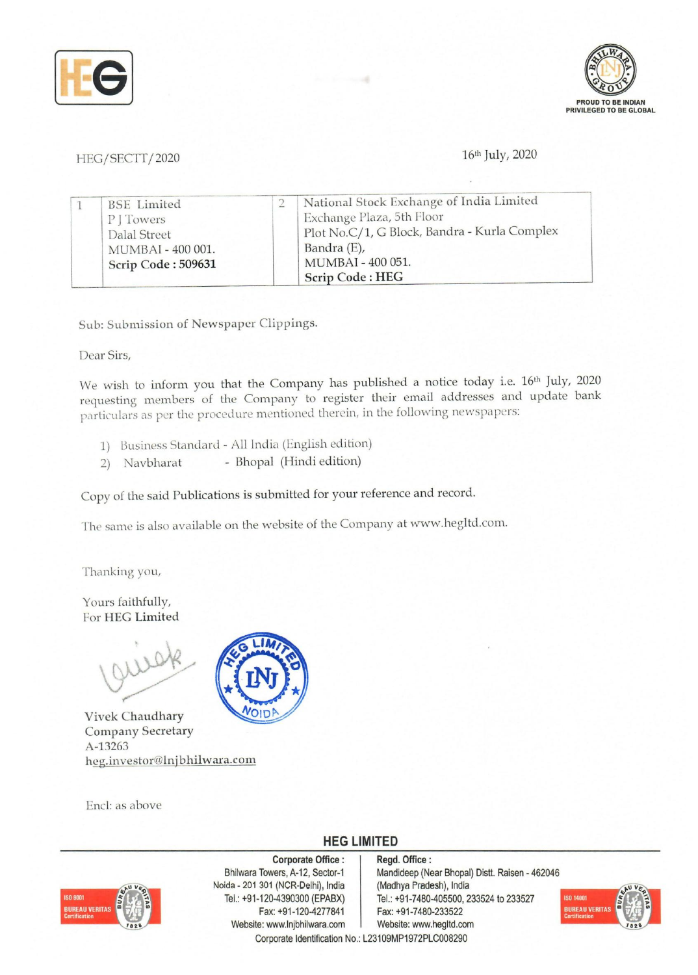



## HEG/SECTT/2020

## 16th July, 2020

| <b>BSE</b> Limited | National Stock Exchange of India Limited     |
|--------------------|----------------------------------------------|
| P   Towers         | Exchange Plaza, 5th Floor                    |
| Dalal Street       | Plot No.C/1, G Block, Bandra - Kurla Complex |
| MUMBAI - 400 001.  | Bandra (E),                                  |
| Scrip Code: 509631 | MUMBAI - 400 051.                            |
|                    | <b>Scrip Code: HEG</b>                       |

Sub: Submission of Newspaper Clippings.

Dear Sirs,

We wish to inform you that the Company has published a notice today i.e. 16<sup>th</sup> July, 2020 requesting members of the Company to register their email addresses and update bank particulars as per the procedure mentioned therein, in the following newspapers:

- 1) business Standard All India (English edition)
- 2) Navbharat Bhopal (Hindi edition)

Copy of the said Publications is submitted for your reference and record.

The same is also available on the website of the Company at www.hegltd.com.

Thanking you,

Yours faithfully, For HEG Limited

Vivek Chaudhary Company Secretary A-13263 heg.investor@lnjbhilwara.com

End: as above



## **HEG LIMITED**



Corporate Office : Bhilwara Towers, A-12, Sector-1 Noida - 201 301 (NCR-Delhi), India Tel.: +91-120-4390300 (EPABX) Fax: +91-120-4277841 Website: www.lnjbhilwara.com | Website: www.hegltd.com Corporate Identification No.: L23109MP1972PLC008290

Regd. Office: Mandideep (Near Bhopal) Distt. Raisen - 462046 (Madhya Pradesh), India Tel.: +91-7480-405500, 233524 to 233527 Fax: +91-7480-233522

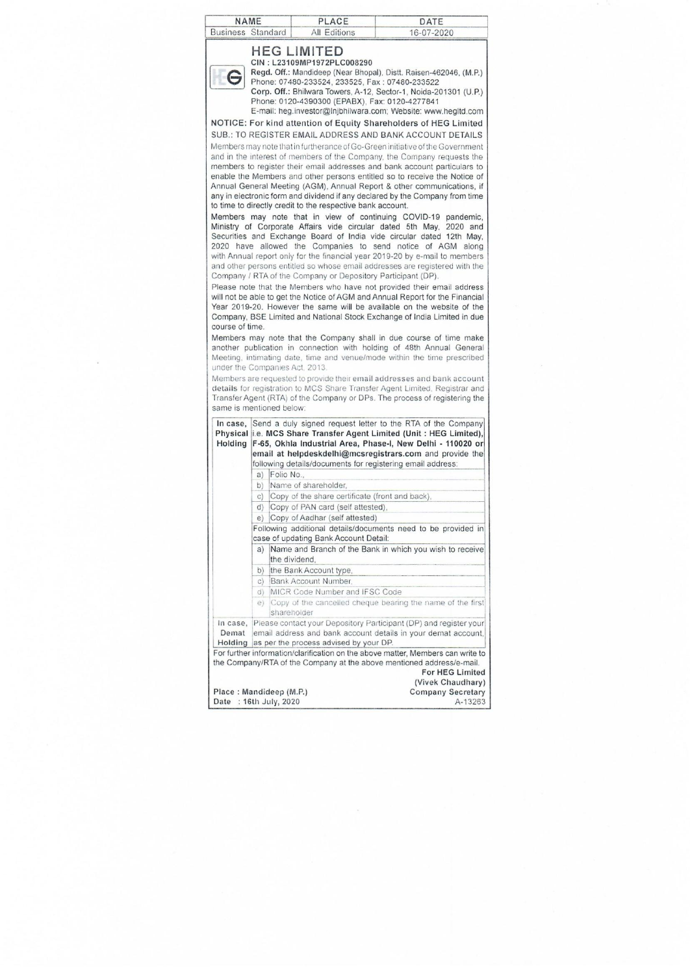| <b>Business</b> Standard                          | <b>NAME</b>    |               |                                                                                                                                                                                                                                                                                                             |                                                                                                                                                                                                                                                                                                                                                                                                                                                                                                                                                                                                                                                                                                                                                                                                                                                                                                                                                                                                                                                                                                                                                                                                                                                                                                                                                                                                                                                                                                                                                                                                                                                                                                                                                                                                                                                                                                                                                                                                  |
|---------------------------------------------------|----------------|---------------|-------------------------------------------------------------------------------------------------------------------------------------------------------------------------------------------------------------------------------------------------------------------------------------------------------------|--------------------------------------------------------------------------------------------------------------------------------------------------------------------------------------------------------------------------------------------------------------------------------------------------------------------------------------------------------------------------------------------------------------------------------------------------------------------------------------------------------------------------------------------------------------------------------------------------------------------------------------------------------------------------------------------------------------------------------------------------------------------------------------------------------------------------------------------------------------------------------------------------------------------------------------------------------------------------------------------------------------------------------------------------------------------------------------------------------------------------------------------------------------------------------------------------------------------------------------------------------------------------------------------------------------------------------------------------------------------------------------------------------------------------------------------------------------------------------------------------------------------------------------------------------------------------------------------------------------------------------------------------------------------------------------------------------------------------------------------------------------------------------------------------------------------------------------------------------------------------------------------------------------------------------------------------------------------------------------------------|
|                                                   |                |               |                                                                                                                                                                                                                                                                                                             |                                                                                                                                                                                                                                                                                                                                                                                                                                                                                                                                                                                                                                                                                                                                                                                                                                                                                                                                                                                                                                                                                                                                                                                                                                                                                                                                                                                                                                                                                                                                                                                                                                                                                                                                                                                                                                                                                                                                                                                                  |
| course of time.<br>under the Companies Act. 2013. |                |               | PLACE<br>All Editions<br><b>HEG LIMITED</b><br>CIN: L23109MP1972PLC008290<br>Phone: 07480-233524, 233525, Fax: 07480-233522<br>Phone: 0120-4390300 (EPABX), Fax: 0120-4277841<br>to time to directly credit to the respective bank account.<br>Company / RTA of the Company or Depository Participant (DP). | DATE<br>16-07-2020<br>Regd. Off.: Mandideep (Near Bhopal), Distt. Raisen-462046, (M.P.)<br>Corp. Off.: Bhilwara Towers, A-12, Sector-1, Noida-201301 (U.P.)<br>E-mail: heg.investor@Injbhilwara.com; Website: www.hegItd.com<br>NOTICE: For kind attention of Equity Shareholders of HEG Limited<br>SUB.: TO REGISTER EMAIL ADDRESS AND BANK ACCOUNT DETAILS<br>Members may note that in furtherance of Go-Green initiative of the Government<br>and in the interest of members of the Company, the Company requests the<br>members to register their email addresses and bank account particulars to<br>enable the Members and other persons entitled so to receive the Notice of<br>Annual General Meeting (AGM), Annual Report & other communications, if<br>any in electronic form and dividend if any declared by the Company from time<br>Members may note that in view of continuing COVID-19 pandemic,<br>Ministry of Corporate Affairs vide circular dated 5th May, 2020 and<br>Securities and Exchange Board of India vide circular dated 12th May,<br>2020 have allowed the Companies to send notice of AGM along<br>with Annual report only for the financial year 2019-20 by e-mail to members<br>and other persons entitled so whose email addresses are registered with the<br>Please note that the Members who have not provided their email address<br>will not be able to get the Notice of AGM and Annual Report for the Financial<br>Year 2019-20. However the same will be available on the website of the<br>Company, BSE Limited and National Stock Exchange of India Limited in due<br>Members may note that the Company shall in due course of time make<br>another publication in connection with holding of 48th Annual General<br>Meeting, intimating date, time and venue/mode within the time prescribed<br>Members are requested to provide their email addresses and bank account<br>details for registration to MCS Share Transfer Agent Limited, Registrar and |
|                                                   |                |               |                                                                                                                                                                                                                                                                                                             |                                                                                                                                                                                                                                                                                                                                                                                                                                                                                                                                                                                                                                                                                                                                                                                                                                                                                                                                                                                                                                                                                                                                                                                                                                                                                                                                                                                                                                                                                                                                                                                                                                                                                                                                                                                                                                                                                                                                                                                                  |
| In case.<br>Holding                               |                |               |                                                                                                                                                                                                                                                                                                             | Transfer Agent (RTA) of the Company or DPs. The process of registering the<br>Send a duly signed request letter to the RTA of the Company<br>Physical i.e. MCS Share Transfer Agent Limited (Unit: HEG Limited),<br>F-65, Okhla Industrial Area, Phase-I, New Delhi - 110020 or<br>email at helpdeskdelhi@mcsregistrars.com and provide the<br>following details/documents for registering email address:                                                                                                                                                                                                                                                                                                                                                                                                                                                                                                                                                                                                                                                                                                                                                                                                                                                                                                                                                                                                                                                                                                                                                                                                                                                                                                                                                                                                                                                                                                                                                                                        |
|                                                   | a)             | Folio No      |                                                                                                                                                                                                                                                                                                             |                                                                                                                                                                                                                                                                                                                                                                                                                                                                                                                                                                                                                                                                                                                                                                                                                                                                                                                                                                                                                                                                                                                                                                                                                                                                                                                                                                                                                                                                                                                                                                                                                                                                                                                                                                                                                                                                                                                                                                                                  |
|                                                   | b)             |               | Name of shareholder,                                                                                                                                                                                                                                                                                        |                                                                                                                                                                                                                                                                                                                                                                                                                                                                                                                                                                                                                                                                                                                                                                                                                                                                                                                                                                                                                                                                                                                                                                                                                                                                                                                                                                                                                                                                                                                                                                                                                                                                                                                                                                                                                                                                                                                                                                                                  |
|                                                   | $\mathsf{C}$ ) |               | Copy of the share certificate (front and back).                                                                                                                                                                                                                                                             |                                                                                                                                                                                                                                                                                                                                                                                                                                                                                                                                                                                                                                                                                                                                                                                                                                                                                                                                                                                                                                                                                                                                                                                                                                                                                                                                                                                                                                                                                                                                                                                                                                                                                                                                                                                                                                                                                                                                                                                                  |
|                                                   | d)             |               | Copy of PAN card (self attested),                                                                                                                                                                                                                                                                           |                                                                                                                                                                                                                                                                                                                                                                                                                                                                                                                                                                                                                                                                                                                                                                                                                                                                                                                                                                                                                                                                                                                                                                                                                                                                                                                                                                                                                                                                                                                                                                                                                                                                                                                                                                                                                                                                                                                                                                                                  |
|                                                   | e)             |               | Copy of Aadhar (self attested)                                                                                                                                                                                                                                                                              |                                                                                                                                                                                                                                                                                                                                                                                                                                                                                                                                                                                                                                                                                                                                                                                                                                                                                                                                                                                                                                                                                                                                                                                                                                                                                                                                                                                                                                                                                                                                                                                                                                                                                                                                                                                                                                                                                                                                                                                                  |
|                                                   |                |               |                                                                                                                                                                                                                                                                                                             | Following additional details/documents need to be provided in                                                                                                                                                                                                                                                                                                                                                                                                                                                                                                                                                                                                                                                                                                                                                                                                                                                                                                                                                                                                                                                                                                                                                                                                                                                                                                                                                                                                                                                                                                                                                                                                                                                                                                                                                                                                                                                                                                                                    |
|                                                   |                |               | case of updating Bank Account Detail:                                                                                                                                                                                                                                                                       |                                                                                                                                                                                                                                                                                                                                                                                                                                                                                                                                                                                                                                                                                                                                                                                                                                                                                                                                                                                                                                                                                                                                                                                                                                                                                                                                                                                                                                                                                                                                                                                                                                                                                                                                                                                                                                                                                                                                                                                                  |
|                                                   | a)             | the dividend. |                                                                                                                                                                                                                                                                                                             | Name and Branch of the Bank in which you wish to receive                                                                                                                                                                                                                                                                                                                                                                                                                                                                                                                                                                                                                                                                                                                                                                                                                                                                                                                                                                                                                                                                                                                                                                                                                                                                                                                                                                                                                                                                                                                                                                                                                                                                                                                                                                                                                                                                                                                                         |
|                                                   | b)             |               |                                                                                                                                                                                                                                                                                                             |                                                                                                                                                                                                                                                                                                                                                                                                                                                                                                                                                                                                                                                                                                                                                                                                                                                                                                                                                                                                                                                                                                                                                                                                                                                                                                                                                                                                                                                                                                                                                                                                                                                                                                                                                                                                                                                                                                                                                                                                  |
|                                                   |                |               | the Bank Account type,<br>c) Bank Account Number,                                                                                                                                                                                                                                                           |                                                                                                                                                                                                                                                                                                                                                                                                                                                                                                                                                                                                                                                                                                                                                                                                                                                                                                                                                                                                                                                                                                                                                                                                                                                                                                                                                                                                                                                                                                                                                                                                                                                                                                                                                                                                                                                                                                                                                                                                  |
|                                                   |                |               | d) MICR Code Number and IFSC Code                                                                                                                                                                                                                                                                           |                                                                                                                                                                                                                                                                                                                                                                                                                                                                                                                                                                                                                                                                                                                                                                                                                                                                                                                                                                                                                                                                                                                                                                                                                                                                                                                                                                                                                                                                                                                                                                                                                                                                                                                                                                                                                                                                                                                                                                                                  |
|                                                   |                |               |                                                                                                                                                                                                                                                                                                             | e) Copy of the cancelled cheque bearing the name of the first                                                                                                                                                                                                                                                                                                                                                                                                                                                                                                                                                                                                                                                                                                                                                                                                                                                                                                                                                                                                                                                                                                                                                                                                                                                                                                                                                                                                                                                                                                                                                                                                                                                                                                                                                                                                                                                                                                                                    |
|                                                   |                | shareholder   |                                                                                                                                                                                                                                                                                                             |                                                                                                                                                                                                                                                                                                                                                                                                                                                                                                                                                                                                                                                                                                                                                                                                                                                                                                                                                                                                                                                                                                                                                                                                                                                                                                                                                                                                                                                                                                                                                                                                                                                                                                                                                                                                                                                                                                                                                                                                  |
|                                                   |                |               |                                                                                                                                                                                                                                                                                                             | In case, Please contact your Depository Participant (DP) and register your                                                                                                                                                                                                                                                                                                                                                                                                                                                                                                                                                                                                                                                                                                                                                                                                                                                                                                                                                                                                                                                                                                                                                                                                                                                                                                                                                                                                                                                                                                                                                                                                                                                                                                                                                                                                                                                                                                                       |
| Demat                                             |                |               |                                                                                                                                                                                                                                                                                                             | email address and bank account details in your demat account,                                                                                                                                                                                                                                                                                                                                                                                                                                                                                                                                                                                                                                                                                                                                                                                                                                                                                                                                                                                                                                                                                                                                                                                                                                                                                                                                                                                                                                                                                                                                                                                                                                                                                                                                                                                                                                                                                                                                    |
|                                                   |                |               | Holding as per the process advised by your DP.                                                                                                                                                                                                                                                              |                                                                                                                                                                                                                                                                                                                                                                                                                                                                                                                                                                                                                                                                                                                                                                                                                                                                                                                                                                                                                                                                                                                                                                                                                                                                                                                                                                                                                                                                                                                                                                                                                                                                                                                                                                                                                                                                                                                                                                                                  |
| same is mentioned below:                          |                |               |                                                                                                                                                                                                                                                                                                             | For further information/clarification on the above matter, Members can write to                                                                                                                                                                                                                                                                                                                                                                                                                                                                                                                                                                                                                                                                                                                                                                                                                                                                                                                                                                                                                                                                                                                                                                                                                                                                                                                                                                                                                                                                                                                                                                                                                                                                                                                                                                                                                                                                                                                  |
|                                                   |                |               |                                                                                                                                                                                                                                                                                                             | the Company/RTA of the Company at the above mentioned address/e-mail.                                                                                                                                                                                                                                                                                                                                                                                                                                                                                                                                                                                                                                                                                                                                                                                                                                                                                                                                                                                                                                                                                                                                                                                                                                                                                                                                                                                                                                                                                                                                                                                                                                                                                                                                                                                                                                                                                                                            |
|                                                   |                |               |                                                                                                                                                                                                                                                                                                             | For HEG Limited                                                                                                                                                                                                                                                                                                                                                                                                                                                                                                                                                                                                                                                                                                                                                                                                                                                                                                                                                                                                                                                                                                                                                                                                                                                                                                                                                                                                                                                                                                                                                                                                                                                                                                                                                                                                                                                                                                                                                                                  |
| Place: Mandideep (M.P.)                           |                |               |                                                                                                                                                                                                                                                                                                             | (Vivek Chaudhary)<br><b>Company Secretary</b>                                                                                                                                                                                                                                                                                                                                                                                                                                                                                                                                                                                                                                                                                                                                                                                                                                                                                                                                                                                                                                                                                                                                                                                                                                                                                                                                                                                                                                                                                                                                                                                                                                                                                                                                                                                                                                                                                                                                                    |